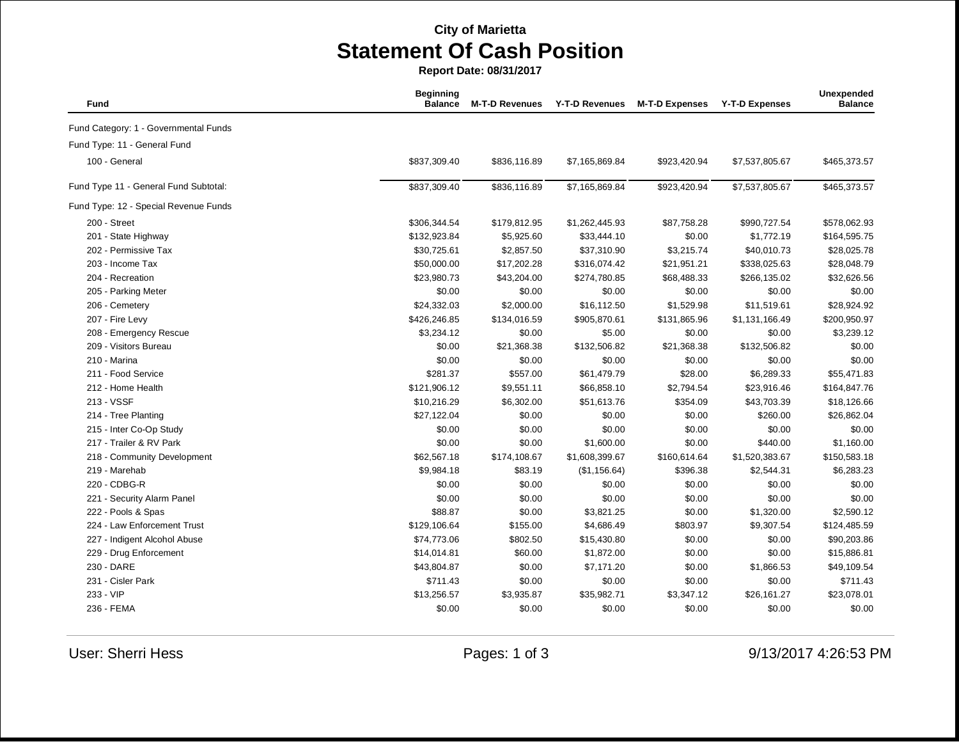## **City of Marietta Statement Of Cash Position**

**Report Date: 08/31/2017**

| Fund                                  | <b>Beginning</b><br><b>Balance</b> | <b>M-T-D Revenues</b> | <b>Y-T-D Revenues</b> | <b>M-T-D Expenses</b> | <b>Y-T-D Expenses</b> | Unexpended<br><b>Balance</b> |
|---------------------------------------|------------------------------------|-----------------------|-----------------------|-----------------------|-----------------------|------------------------------|
| Fund Category: 1 - Governmental Funds |                                    |                       |                       |                       |                       |                              |
| Fund Type: 11 - General Fund          |                                    |                       |                       |                       |                       |                              |
| 100 - General                         | \$837,309.40                       | \$836,116.89          | \$7,165,869.84        | \$923,420.94          | \$7,537,805.67        | \$465,373.57                 |
| Fund Type 11 - General Fund Subtotal: | \$837,309.40                       | \$836,116.89          | \$7,165,869.84        | \$923,420.94          | \$7,537,805.67        | \$465,373.57                 |
| Fund Type: 12 - Special Revenue Funds |                                    |                       |                       |                       |                       |                              |
| 200 - Street                          | \$306,344.54                       | \$179,812.95          | \$1,262,445.93        | \$87,758.28           | \$990,727.54          | \$578,062.93                 |
| 201 - State Highway                   | \$132,923.84                       | \$5,925.60            | \$33,444.10           | \$0.00                | \$1,772.19            | \$164,595.75                 |
| 202 - Permissive Tax                  | \$30,725.61                        | \$2,857.50            | \$37,310.90           | \$3,215.74            | \$40,010.73           | \$28,025.78                  |
| 203 - Income Tax                      | \$50,000.00                        | \$17,202.28           | \$316,074.42          | \$21,951.21           | \$338,025.63          | \$28,048.79                  |
| 204 - Recreation                      | \$23,980.73                        | \$43,204.00           | \$274,780.85          | \$68,488.33           | \$266,135.02          | \$32,626.56                  |
| 205 - Parking Meter                   | \$0.00                             | \$0.00                | \$0.00                | \$0.00                | \$0.00                | \$0.00                       |
| 206 - Cemetery                        | \$24,332.03                        | \$2,000.00            | \$16,112.50           | \$1,529.98            | \$11,519.61           | \$28,924.92                  |
| 207 - Fire Levy                       | \$426,246.85                       | \$134,016.59          | \$905,870.61          | \$131,865.96          | \$1,131,166.49        | \$200,950.97                 |
| 208 - Emergency Rescue                | \$3,234.12                         | \$0.00                | \$5.00                | \$0.00                | \$0.00                | \$3,239.12                   |
| 209 - Visitors Bureau                 | \$0.00                             | \$21,368.38           | \$132,506.82          | \$21,368.38           | \$132,506.82          | \$0.00                       |
| 210 - Marina                          | \$0.00                             | \$0.00                | \$0.00                | \$0.00                | \$0.00                | \$0.00                       |
| 211 - Food Service                    | \$281.37                           | \$557.00              | \$61,479.79           | \$28.00               | \$6,289.33            | \$55,471.83                  |
| 212 - Home Health                     | \$121,906.12                       | \$9,551.11            | \$66,858.10           | \$2,794.54            | \$23,916.46           | \$164,847.76                 |
| 213 - VSSF                            | \$10,216.29                        | \$6,302.00            | \$51,613.76           | \$354.09              | \$43,703.39           | \$18,126.66                  |
| 214 - Tree Planting                   | \$27,122.04                        | \$0.00                | \$0.00                | \$0.00                | \$260.00              | \$26,862.04                  |
| 215 - Inter Co-Op Study               | \$0.00                             | \$0.00                | \$0.00                | \$0.00                | \$0.00                | \$0.00                       |
| 217 - Trailer & RV Park               | \$0.00                             | \$0.00                | \$1,600.00            | \$0.00                | \$440.00              | \$1,160.00                   |
| 218 - Community Development           | \$62,567.18                        | \$174,108.67          | \$1,608,399.67        | \$160,614.64          | \$1,520,383.67        | \$150,583.18                 |
| 219 - Marehab                         | \$9,984.18                         | \$83.19               | (\$1,156.64)          | \$396.38              | \$2,544.31            | \$6,283.23                   |
| 220 - CDBG-R                          | \$0.00                             | \$0.00                | \$0.00                | \$0.00                | \$0.00                | \$0.00                       |
| 221 - Security Alarm Panel            | \$0.00                             | \$0.00                | \$0.00                | \$0.00                | \$0.00                | \$0.00                       |
| 222 - Pools & Spas                    | \$88.87                            | \$0.00                | \$3,821.25            | \$0.00                | \$1,320.00            | \$2,590.12                   |
| 224 - Law Enforcement Trust           | \$129,106.64                       | \$155.00              | \$4,686.49            | \$803.97              | \$9,307.54            | \$124,485.59                 |
| 227 - Indigent Alcohol Abuse          | \$74,773.06                        | \$802.50              | \$15,430.80           | \$0.00                | \$0.00                | \$90,203.86                  |
| 229 - Drug Enforcement                | \$14,014.81                        | \$60.00               | \$1,872.00            | \$0.00                | \$0.00                | \$15,886.81                  |
| 230 - DARE                            | \$43,804.87                        | \$0.00                | \$7,171.20            | \$0.00                | \$1,866.53            | \$49,109.54                  |
| 231 - Cisler Park                     | \$711.43                           | \$0.00                | \$0.00                | \$0.00                | \$0.00                | \$711.43                     |
| 233 - VIP                             | \$13,256.57                        | \$3,935.87            | \$35,982.71           | \$3,347.12            | \$26,161.27           | \$23,078.01                  |
| 236 - FEMA                            | \$0.00                             | \$0.00                | \$0.00                | \$0.00                | \$0.00                | \$0.00                       |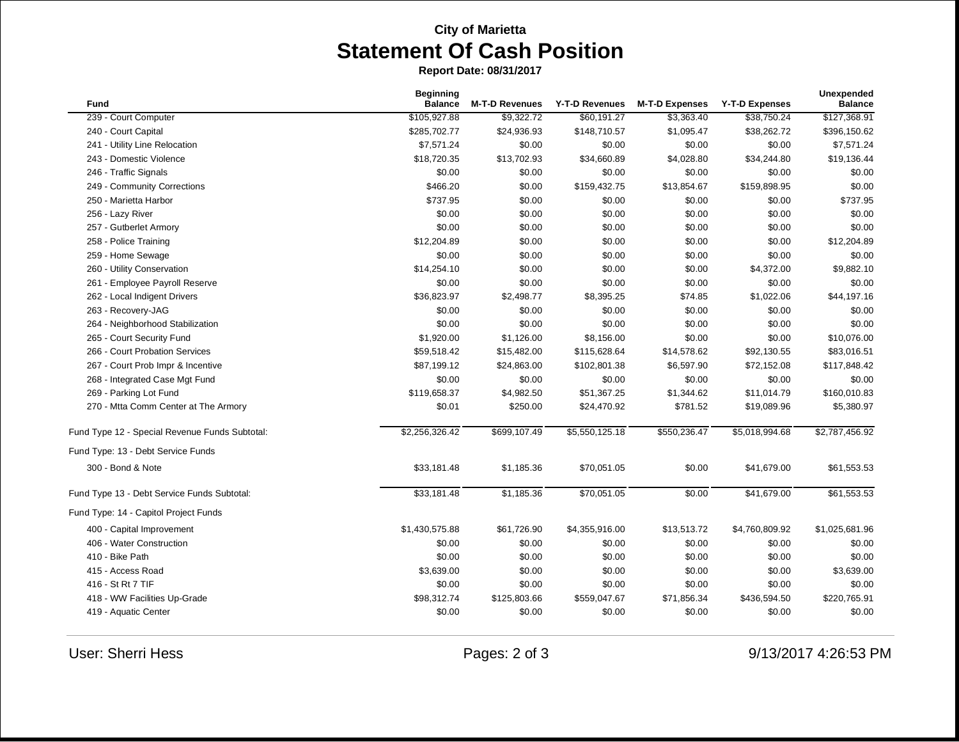## **City of Marietta Statement Of Cash Position**

**Report Date: 08/31/2017**

| Fund                                           | <b>Beginning</b><br><b>Balance</b> | <b>M-T-D Revenues</b> | <b>Y-T-D Revenues</b> | <b>M-T-D Expenses</b> | <b>Y-T-D Expenses</b> | Unexpended<br><b>Balance</b> |
|------------------------------------------------|------------------------------------|-----------------------|-----------------------|-----------------------|-----------------------|------------------------------|
| 239 - Court Computer                           | \$105,927.88                       | \$9,322.72            | \$60,191.27           | \$3,363.40            | \$38,750.24           | \$127,368.91                 |
| 240 - Court Capital                            | \$285,702.77                       | \$24,936.93           | \$148,710.57          | \$1,095.47            | \$38,262.72           | \$396,150.62                 |
| 241 - Utility Line Relocation                  | \$7,571.24                         | \$0.00                | \$0.00                | \$0.00                | \$0.00                | \$7,571.24                   |
| 243 - Domestic Violence                        | \$18,720.35                        | \$13,702.93           | \$34,660.89           | \$4,028.80            | \$34,244.80           | \$19,136.44                  |
| 246 - Traffic Signals                          | \$0.00                             | \$0.00                | \$0.00                | \$0.00                | \$0.00                | \$0.00                       |
| 249 - Community Corrections                    | \$466.20                           | \$0.00                | \$159,432.75          | \$13,854.67           | \$159,898.95          | \$0.00                       |
| 250 - Marietta Harbor                          | \$737.95                           | \$0.00                | \$0.00                | \$0.00                | \$0.00                | \$737.95                     |
| 256 - Lazy River                               | \$0.00                             | \$0.00                | \$0.00                | \$0.00                | \$0.00                | \$0.00                       |
| 257 - Gutberlet Armory                         | \$0.00                             | \$0.00                | \$0.00                | \$0.00                | \$0.00                | \$0.00                       |
| 258 - Police Training                          | \$12,204.89                        | \$0.00                | \$0.00                | \$0.00                | \$0.00                | \$12,204.89                  |
| 259 - Home Sewage                              | \$0.00                             | \$0.00                | \$0.00                | \$0.00                | \$0.00                | \$0.00                       |
| 260 - Utility Conservation                     | \$14,254.10                        | \$0.00                | \$0.00                | \$0.00                | \$4,372.00            | \$9,882.10                   |
| 261 - Employee Payroll Reserve                 | \$0.00                             | \$0.00                | \$0.00                | \$0.00                | \$0.00                | \$0.00                       |
| 262 - Local Indigent Drivers                   | \$36,823.97                        | \$2,498.77            | \$8,395.25            | \$74.85               | \$1,022.06            | \$44,197.16                  |
| 263 - Recovery-JAG                             | \$0.00                             | \$0.00                | \$0.00                | \$0.00                | \$0.00                | \$0.00                       |
| 264 - Neighborhood Stabilization               | \$0.00                             | \$0.00                | \$0.00                | \$0.00                | \$0.00                | \$0.00                       |
| 265 - Court Security Fund                      | \$1,920.00                         | \$1,126.00            | \$8,156.00            | \$0.00                | \$0.00                | \$10,076.00                  |
| 266 - Court Probation Services                 | \$59,518.42                        | \$15,482.00           | \$115,628.64          | \$14,578.62           | \$92,130.55           | \$83,016.51                  |
| 267 - Court Prob Impr & Incentive              | \$87,199.12                        | \$24,863.00           | \$102,801.38          | \$6,597.90            | \$72,152.08           | \$117,848.42                 |
| 268 - Integrated Case Mgt Fund                 | \$0.00                             | \$0.00                | \$0.00                | \$0.00                | \$0.00                | \$0.00                       |
| 269 - Parking Lot Fund                         | \$119,658.37                       | \$4,982.50            | \$51,367.25           | \$1,344.62            | \$11,014.79           | \$160,010.83                 |
| 270 - Mtta Comm Center at The Armory           | \$0.01                             | \$250.00              | \$24,470.92           | \$781.52              | \$19,089.96           | \$5,380.97                   |
| Fund Type 12 - Special Revenue Funds Subtotal: | \$2,256,326.42                     | \$699,107.49          | \$5,550,125.18        | \$550,236.47          | \$5,018,994.68        | \$2,787,456.92               |
| Fund Type: 13 - Debt Service Funds             |                                    |                       |                       |                       |                       |                              |
| 300 - Bond & Note                              | \$33,181.48                        | \$1,185.36            | \$70,051.05           | \$0.00                | \$41,679.00           | \$61,553.53                  |
| Fund Type 13 - Debt Service Funds Subtotal:    | \$33,181.48                        | \$1,185.36            | \$70,051.05           | \$0.00                | \$41,679.00           | \$61,553.53                  |
| Fund Type: 14 - Capitol Project Funds          |                                    |                       |                       |                       |                       |                              |
| 400 - Capital Improvement                      | \$1,430,575.88                     | \$61,726.90           | \$4,355,916.00        | \$13,513.72           | \$4,760,809.92        | \$1,025,681.96               |
| 406 - Water Construction                       | \$0.00                             | \$0.00                | \$0.00                | \$0.00                | \$0.00                | \$0.00                       |
| 410 - Bike Path                                | \$0.00                             | \$0.00                | \$0.00                | \$0.00                | \$0.00                | \$0.00                       |
| 415 - Access Road                              | \$3,639.00                         | \$0.00                | \$0.00                | \$0.00                | \$0.00                | \$3,639.00                   |
| 416 - St Rt 7 TIF                              | \$0.00                             | \$0.00                | \$0.00                | \$0.00                | \$0.00                | \$0.00                       |
| 418 - WW Facilities Up-Grade                   | \$98,312.74                        | \$125,803.66          | \$559,047.67          | \$71,856.34           | \$436,594.50          | \$220,765.91                 |
| 419 - Aquatic Center                           | \$0.00                             | \$0.00                | \$0.00                | \$0.00                | \$0.00                | \$0.00                       |

User: Sherri Hess **Pages: 2 of 3** 9/13/2017 4:26:53 PM